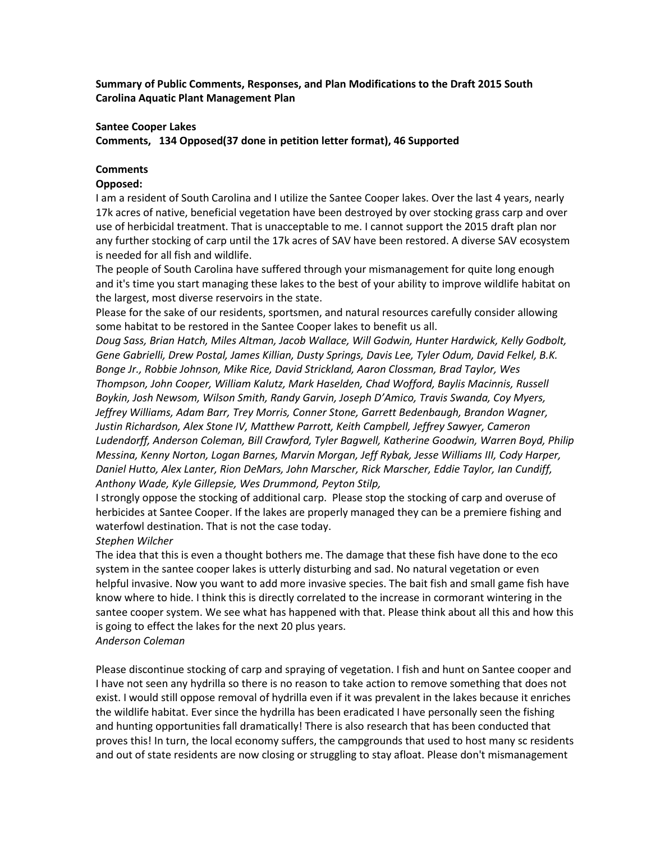**Summary of Public Comments, Responses, and Plan Modifications to the Draft 2015 South Carolina Aquatic Plant Management Plan** 

#### **Santee Cooper Lakes**

**Comments, 134 Opposed(37 done in petition letter format), 46 Supported** 

## **Comments**

#### **Opposed:**

I am a resident of South Carolina and I utilize the Santee Cooper lakes. Over the last 4 years, nearly 17k acres of native, beneficial vegetation have been destroyed by over stocking grass carp and over use of herbicidal treatment. That is unacceptable to me. I cannot support the 2015 draft plan nor any further stocking of carp until the 17k acres of SAV have been restored. A diverse SAV ecosystem is needed for all fish and wildlife.

The people of South Carolina have suffered through your mismanagement for quite long enough and it's time you start managing these lakes to the best of your ability to improve wildlife habitat on the largest, most diverse reservoirs in the state.

Please for the sake of our residents, sportsmen, and natural resources carefully consider allowing some habitat to be restored in the Santee Cooper lakes to benefit us all.

*Doug Sass, Brian Hatch, Miles Altman, Jacob Wallace, Will Godwin, Hunter Hardwick, Kelly Godbolt, Gene Gabrielli, Drew Postal, James Killian, Dusty Springs, Davis Lee, Tyler Odum, David Felkel, B.K. Bonge Jr., Robbie Johnson, Mike Rice, David Strickland, Aaron Clossman, Brad Taylor, Wes Thompson, John Cooper, William Kalutz, Mark Haselden, Chad Wofford, Baylis Macinnis, Russell Boykin, Josh Newsom, Wilson Smith, Randy Garvin, Joseph D'Amico, Travis Swanda, Coy Myers, Jeffrey Williams, Adam Barr, Trey Morris, Conner Stone, Garrett Bedenbaugh, Brandon Wagner, Justin Richardson, Alex Stone IV, Matthew Parrott, Keith Campbell, Jeffrey Sawyer, Cameron Ludendorff, Anderson Coleman, Bill Crawford, Tyler Bagwell, Katherine Goodwin, Warren Boyd, Philip Messina, Kenny Norton, Logan Barnes, Marvin Morgan, Jeff Rybak, Jesse Williams III, Cody Harper, Daniel Hutto, Alex Lanter, Rion DeMars, John Marscher, Rick Marscher, Eddie Taylor, Ian Cundiff, Anthony Wade, Kyle Gillepsie, Wes Drummond, Peyton Stilp,* 

I strongly oppose the stocking of additional carp. Please stop the stocking of carp and overuse of herbicides at Santee Cooper. If the lakes are properly managed they can be a premiere fishing and waterfowl destination. That is not the case today.

#### *Stephen Wilcher*

The idea that this is even a thought bothers me. The damage that these fish have done to the eco system in the santee cooper lakes is utterly disturbing and sad. No natural vegetation or even helpful invasive. Now you want to add more invasive species. The bait fish and small game fish have know where to hide. I think this is directly correlated to the increase in cormorant wintering in the santee cooper system. We see what has happened with that. Please think about all this and how this is going to effect the lakes for the next 20 plus years.

# *Anderson Coleman*

Please discontinue stocking of carp and spraying of vegetation. I fish and hunt on Santee cooper and I have not seen any hydrilla so there is no reason to take action to remove something that does not exist. I would still oppose removal of hydrilla even if it was prevalent in the lakes because it enriches the wildlife habitat. Ever since the hydrilla has been eradicated I have personally seen the fishing and hunting opportunities fall dramatically! There is also research that has been conducted that proves this! In turn, the local economy suffers, the campgrounds that used to host many sc residents and out of state residents are now closing or struggling to stay afloat. Please don't mismanagement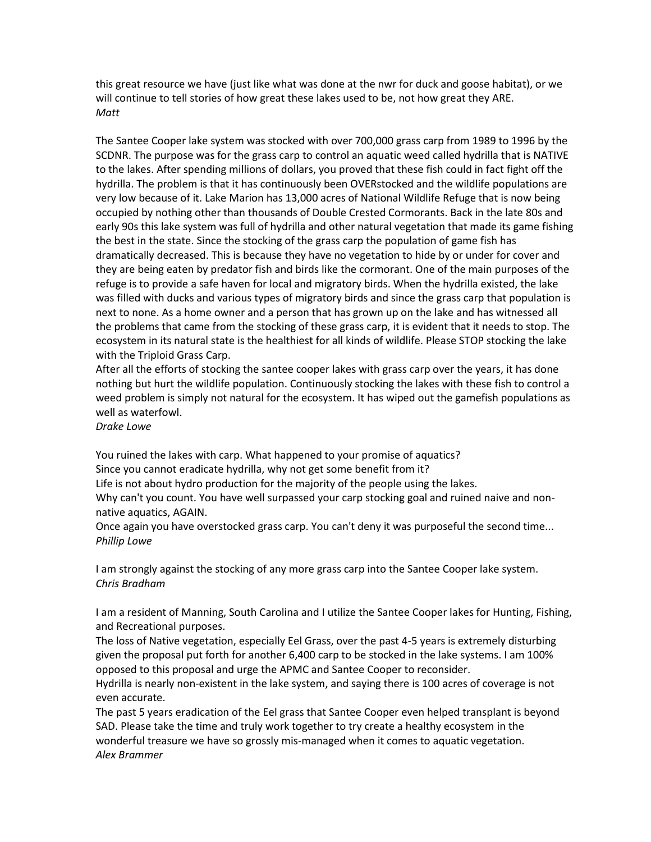this great resource we have (just like what was done at the nwr for duck and goose habitat), or we will continue to tell stories of how great these lakes used to be, not how great they ARE. *Matt*

The Santee Cooper lake system was stocked with over 700,000 grass carp from 1989 to 1996 by the SCDNR. The purpose was for the grass carp to control an aquatic weed called hydrilla that is NATIVE to the lakes. After spending millions of dollars, you proved that these fish could in fact fight off the hydrilla. The problem is that it has continuously been OVERstocked and the wildlife populations are very low because of it. Lake Marion has 13,000 acres of National Wildlife Refuge that is now being occupied by nothing other than thousands of Double Crested Cormorants. Back in the late 80s and early 90s this lake system was full of hydrilla and other natural vegetation that made its game fishing the best in the state. Since the stocking of the grass carp the population of game fish has dramatically decreased. This is because they have no vegetation to hide by or under for cover and they are being eaten by predator fish and birds like the cormorant. One of the main purposes of the refuge is to provide a safe haven for local and migratory birds. When the hydrilla existed, the lake was filled with ducks and various types of migratory birds and since the grass carp that population is next to none. As a home owner and a person that has grown up on the lake and has witnessed all the problems that came from the stocking of these grass carp, it is evident that it needs to stop. The ecosystem in its natural state is the healthiest for all kinds of wildlife. Please STOP stocking the lake with the Triploid Grass Carp.

After all the efforts of stocking the santee cooper lakes with grass carp over the years, it has done nothing but hurt the wildlife population. Continuously stocking the lakes with these fish to control a weed problem is simply not natural for the ecosystem. It has wiped out the gamefish populations as well as waterfowl.

*Drake Lowe*

You ruined the lakes with carp. What happened to your promise of aquatics?

Since you cannot eradicate hydrilla, why not get some benefit from it?

Life is not about hydro production for the majority of the people using the lakes.

Why can't you count. You have well surpassed your carp stocking goal and ruined naive and nonnative aquatics, AGAIN.

Once again you have overstocked grass carp. You can't deny it was purposeful the second time... *Phillip Lowe*

I am strongly against the stocking of any more grass carp into the Santee Cooper lake system. *Chris Bradham*

I am a resident of Manning, South Carolina and I utilize the Santee Cooper lakes for Hunting, Fishing, and Recreational purposes.

The loss of Native vegetation, especially Eel Grass, over the past 4-5 years is extremely disturbing given the proposal put forth for another 6,400 carp to be stocked in the lake systems. I am 100% opposed to this proposal and urge the APMC and Santee Cooper to reconsider.

Hydrilla is nearly non-existent in the lake system, and saying there is 100 acres of coverage is not even accurate.

The past 5 years eradication of the Eel grass that Santee Cooper even helped transplant is beyond SAD. Please take the time and truly work together to try create a healthy ecosystem in the wonderful treasure we have so grossly mis-managed when it comes to aquatic vegetation. *Alex Brammer*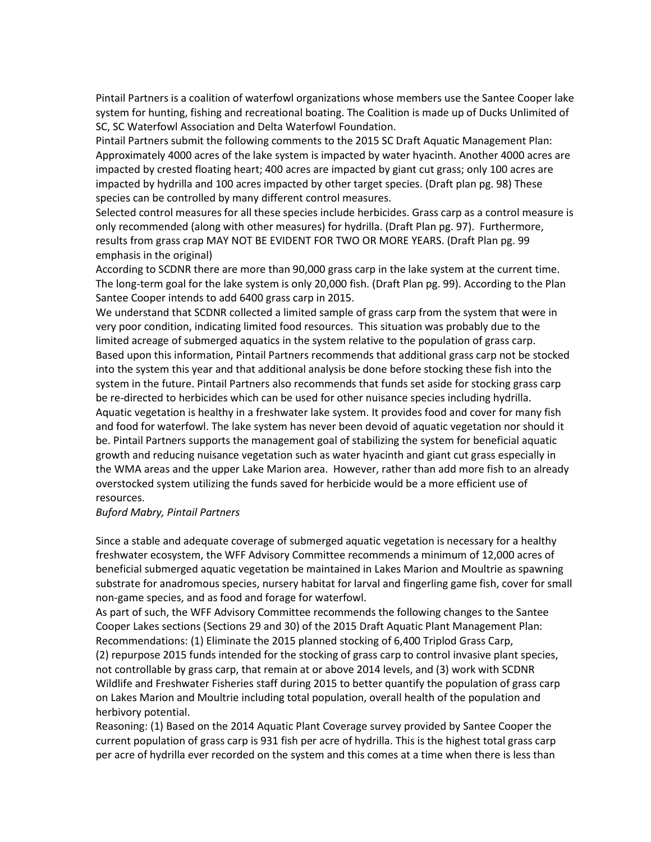Pintail Partners is a coalition of waterfowl organizations whose members use the Santee Cooper lake system for hunting, fishing and recreational boating. The Coalition is made up of Ducks Unlimited of SC, SC Waterfowl Association and Delta Waterfowl Foundation.

Pintail Partners submit the following comments to the 2015 SC Draft Aquatic Management Plan: Approximately 4000 acres of the lake system is impacted by water hyacinth. Another 4000 acres are impacted by crested floating heart; 400 acres are impacted by giant cut grass; only 100 acres are impacted by hydrilla and 100 acres impacted by other target species. (Draft plan pg. 98) These species can be controlled by many different control measures.

Selected control measures for all these species include herbicides. Grass carp as a control measure is only recommended (along with other measures) for hydrilla. (Draft Plan pg. 97). Furthermore, results from grass crap MAY NOT BE EVIDENT FOR TWO OR MORE YEARS. (Draft Plan pg. 99 emphasis in the original)

According to SCDNR there are more than 90,000 grass carp in the lake system at the current time. The long-term goal for the lake system is only 20,000 fish. (Draft Plan pg. 99). According to the Plan Santee Cooper intends to add 6400 grass carp in 2015.

We understand that SCDNR collected a limited sample of grass carp from the system that were in very poor condition, indicating limited food resources. This situation was probably due to the limited acreage of submerged aquatics in the system relative to the population of grass carp. Based upon this information, Pintail Partners recommends that additional grass carp not be stocked into the system this year and that additional analysis be done before stocking these fish into the system in the future. Pintail Partners also recommends that funds set aside for stocking grass carp be re-directed to herbicides which can be used for other nuisance species including hydrilla. Aquatic vegetation is healthy in a freshwater lake system. It provides food and cover for many fish and food for waterfowl. The lake system has never been devoid of aquatic vegetation nor should it be. Pintail Partners supports the management goal of stabilizing the system for beneficial aquatic growth and reducing nuisance vegetation such as water hyacinth and giant cut grass especially in the WMA areas and the upper Lake Marion area. However, rather than add more fish to an already overstocked system utilizing the funds saved for herbicide would be a more efficient use of resources.

## *Buford Mabry, Pintail Partners*

Since a stable and adequate coverage of submerged aquatic vegetation is necessary for a healthy freshwater ecosystem, the WFF Advisory Committee recommends a minimum of 12,000 acres of beneficial submerged aquatic vegetation be maintained in Lakes Marion and Moultrie as spawning substrate for anadromous species, nursery habitat for larval and fingerling game fish, cover for small non-game species, and as food and forage for waterfowl.

As part of such, the WFF Advisory Committee recommends the following changes to the Santee Cooper Lakes sections (Sections 29 and 30) of the 2015 Draft Aquatic Plant Management Plan: Recommendations: (1) Eliminate the 2015 planned stocking of 6,400 Triplod Grass Carp, (2) repurpose 2015 funds intended for the stocking of grass carp to control invasive plant species,

not controllable by grass carp, that remain at or above 2014 levels, and (3) work with SCDNR Wildlife and Freshwater Fisheries staff during 2015 to better quantify the population of grass carp on Lakes Marion and Moultrie including total population, overall health of the population and herbivory potential.

Reasoning: (1) Based on the 2014 Aquatic Plant Coverage survey provided by Santee Cooper the current population of grass carp is 931 fish per acre of hydrilla. This is the highest total grass carp per acre of hydrilla ever recorded on the system and this comes at a time when there is less than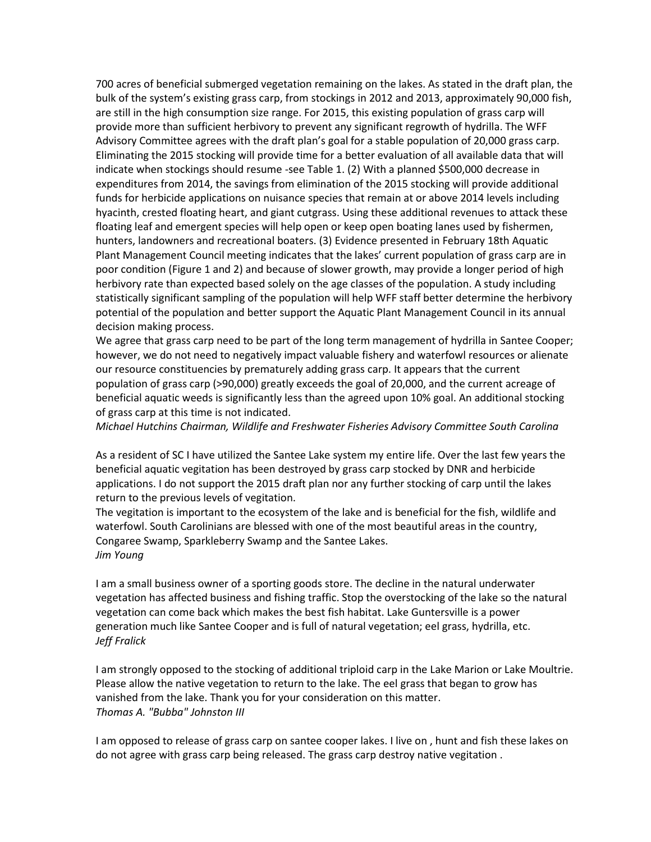700 acres of beneficial submerged vegetation remaining on the lakes. As stated in the draft plan, the bulk of the system's existing grass carp, from stockings in 2012 and 2013, approximately 90,000 fish, are still in the high consumption size range. For 2015, this existing population of grass carp will provide more than sufficient herbivory to prevent any significant regrowth of hydrilla. The WFF Advisory Committee agrees with the draft plan's goal for a stable population of 20,000 grass carp. Eliminating the 2015 stocking will provide time for a better evaluation of all available data that will indicate when stockings should resume -see Table 1. (2) With a planned \$500,000 decrease in expenditures from 2014, the savings from elimination of the 2015 stocking will provide additional funds for herbicide applications on nuisance species that remain at or above 2014 levels including hyacinth, crested floating heart, and giant cutgrass. Using these additional revenues to attack these floating leaf and emergent species will help open or keep open boating lanes used by fishermen, hunters, landowners and recreational boaters. (3) Evidence presented in February 18th Aquatic Plant Management Council meeting indicates that the lakes' current population of grass carp are in poor condition (Figure 1 and 2) and because of slower growth, may provide a longer period of high herbivory rate than expected based solely on the age classes of the population. A study including statistically significant sampling of the population will help WFF staff better determine the herbivory potential of the population and better support the Aquatic Plant Management Council in its annual decision making process.

We agree that grass carp need to be part of the long term management of hydrilla in Santee Cooper; however, we do not need to negatively impact valuable fishery and waterfowl resources or alienate our resource constituencies by prematurely adding grass carp. It appears that the current population of grass carp (>90,000) greatly exceeds the goal of 20,000, and the current acreage of beneficial aquatic weeds is significantly less than the agreed upon 10% goal. An additional stocking of grass carp at this time is not indicated.

*Michael Hutchins Chairman, Wildlife and Freshwater Fisheries Advisory Committee South Carolina*

As a resident of SC I have utilized the Santee Lake system my entire life. Over the last few years the beneficial aquatic vegitation has been destroyed by grass carp stocked by DNR and herbicide applications. I do not support the 2015 draft plan nor any further stocking of carp until the lakes return to the previous levels of vegitation.

The vegitation is important to the ecosystem of the lake and is beneficial for the fish, wildlife and waterfowl. South Carolinians are blessed with one of the most beautiful areas in the country, Congaree Swamp, Sparkleberry Swamp and the Santee Lakes. *Jim Young*

I am a small business owner of a sporting goods store. The decline in the natural underwater vegetation has affected business and fishing traffic. Stop the overstocking of the lake so the natural vegetation can come back which makes the best fish habitat. Lake Guntersville is a power generation much like Santee Cooper and is full of natural vegetation; eel grass, hydrilla, etc. *Jeff Fralick*

I am strongly opposed to the stocking of additional triploid carp in the Lake Marion or Lake Moultrie. Please allow the native vegetation to return to the lake. The eel grass that began to grow has vanished from the lake. Thank you for your consideration on this matter. *Thomas A. "Bubba" Johnston III*

I am opposed to release of grass carp on santee cooper lakes. I live on , hunt and fish these lakes on do not agree with grass carp being released. The grass carp destroy native vegitation .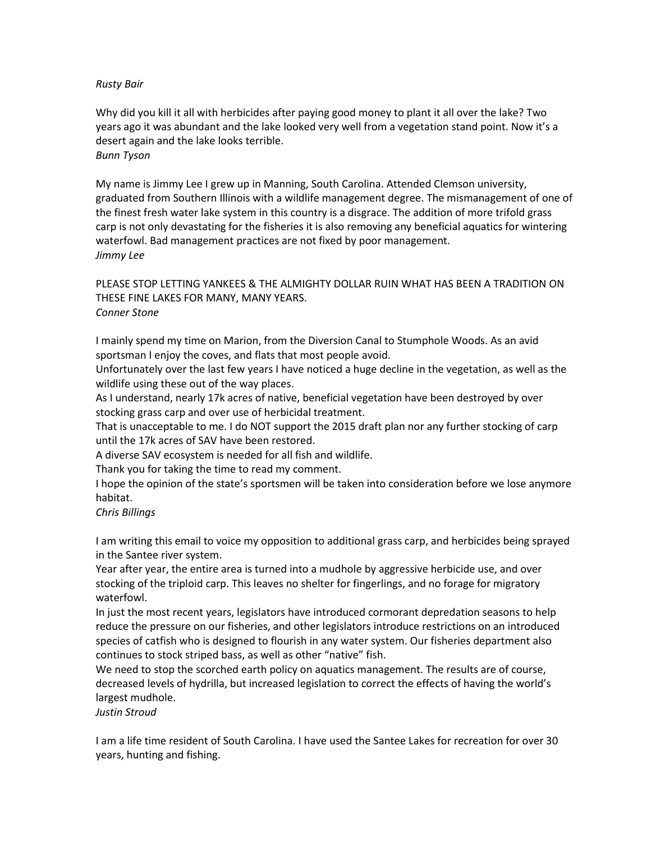## *Rusty Bair*

Why did you kill it all with herbicides after paying good money to plant it all over the lake? Two years ago it was abundant and the lake looked very well from a vegetation stand point. Now it's a desert again and the lake looks terrible. *Bunn Tyson*

My name is Jimmy Lee I grew up in Manning, South Carolina. Attended Clemson university, graduated from Southern Illinois with a wildlife management degree. The mismanagement of one of the finest fresh water lake system in this country is a disgrace. The addition of more trifold grass carp is not only devastating for the fisheries it is also removing any beneficial aquatics for wintering waterfowl. Bad management practices are not fixed by poor management. *Jimmy Lee*

## PLEASE STOP LETTING YANKEES & THE ALMIGHTY DOLLAR RUIN WHAT HAS BEEN A TRADITION ON THESE FINE LAKES FOR MANY, MANY YEARS. *Conner Stone*

I mainly spend my time on Marion, from the Diversion Canal to Stumphole Woods. As an avid sportsman I enjoy the coves, and flats that most people avoid.

Unfortunately over the last few years I have noticed a huge decline in the vegetation, as well as the wildlife using these out of the way places.

As I understand, nearly 17k acres of native, beneficial vegetation have been destroyed by over stocking grass carp and over use of herbicidal treatment.

That is unacceptable to me. I do NOT support the 2015 draft plan nor any further stocking of carp until the 17k acres of SAV have been restored.

A diverse SAV ecosystem is needed for all fish and wildlife.

Thank you for taking the time to read my comment.

I hope the opinion of the state's sportsmen will be taken into consideration before we lose anymore habitat.

#### *Chris Billings*

I am writing this email to voice my opposition to additional grass carp, and herbicides being sprayed in the Santee river system.

Year after year, the entire area is turned into a mudhole by aggressive herbicide use, and over stocking of the triploid carp. This leaves no shelter for fingerlings, and no forage for migratory waterfowl.

In just the most recent years, legislators have introduced cormorant depredation seasons to help reduce the pressure on our fisheries, and other legislators introduce restrictions on an introduced species of catfish who is designed to flourish in any water system. Our fisheries department also continues to stock striped bass, as well as other "native" fish.

We need to stop the scorched earth policy on aquatics management. The results are of course, decreased levels of hydrilla, but increased legislation to correct the effects of having the world's largest mudhole.

*Justin Stroud*

I am a life time resident of South Carolina. I have used the Santee Lakes for recreation for over 30 years, hunting and fishing.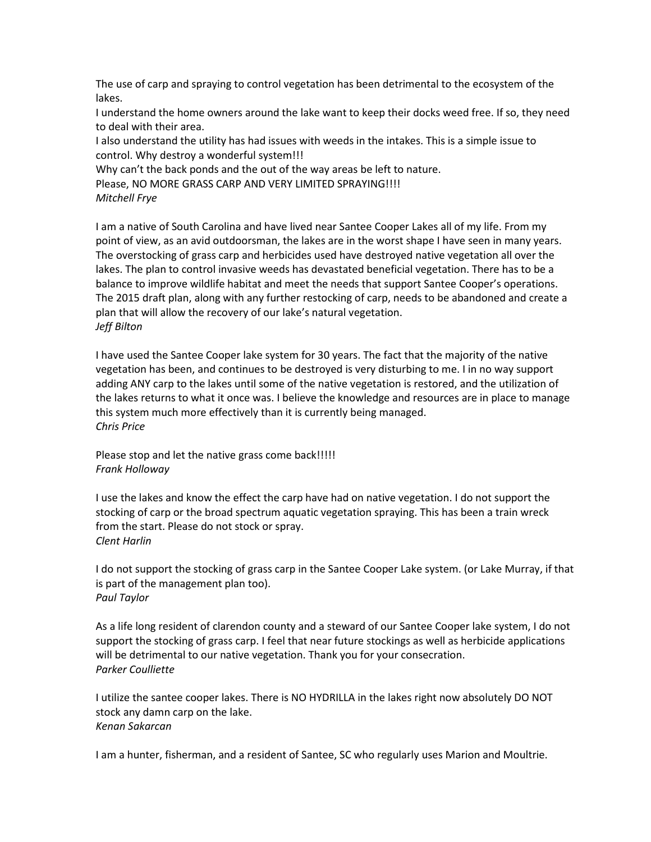The use of carp and spraying to control vegetation has been detrimental to the ecosystem of the lakes.

I understand the home owners around the lake want to keep their docks weed free. If so, they need to deal with their area.

I also understand the utility has had issues with weeds in the intakes. This is a simple issue to control. Why destroy a wonderful system!!!

Why can't the back ponds and the out of the way areas be left to nature.

Please, NO MORE GRASS CARP AND VERY LIMITED SPRAYING!!!!

```
Mitchell Frye
```
I am a native of South Carolina and have lived near Santee Cooper Lakes all of my life. From my point of view, as an avid outdoorsman, the lakes are in the worst shape I have seen in many years. The overstocking of grass carp and herbicides used have destroyed native vegetation all over the lakes. The plan to control invasive weeds has devastated beneficial vegetation. There has to be a balance to improve wildlife habitat and meet the needs that support Santee Cooper's operations. The 2015 draft plan, along with any further restocking of carp, needs to be abandoned and create a plan that will allow the recovery of our lake's natural vegetation. *Jeff Bilton* 

I have used the Santee Cooper lake system for 30 years. The fact that the majority of the native vegetation has been, and continues to be destroyed is very disturbing to me. I in no way support adding ANY carp to the lakes until some of the native vegetation is restored, and the utilization of the lakes returns to what it once was. I believe the knowledge and resources are in place to manage this system much more effectively than it is currently being managed. *Chris Price*

Please stop and let the native grass come back!!!!! *Frank Holloway*

I use the lakes and know the effect the carp have had on native vegetation. I do not support the stocking of carp or the broad spectrum aquatic vegetation spraying. This has been a train wreck from the start. Please do not stock or spray. *Clent Harlin*

I do not support the stocking of grass carp in the Santee Cooper Lake system. (or Lake Murray, if that is part of the management plan too). *Paul Taylor*

As a life long resident of clarendon county and a steward of our Santee Cooper lake system, I do not support the stocking of grass carp. I feel that near future stockings as well as herbicide applications will be detrimental to our native vegetation. Thank you for your consecration. *Parker Coulliette*

I utilize the santee cooper lakes. There is NO HYDRILLA in the lakes right now absolutely DO NOT stock any damn carp on the lake. *Kenan Sakarcan*

I am a hunter, fisherman, and a resident of Santee, SC who regularly uses Marion and Moultrie.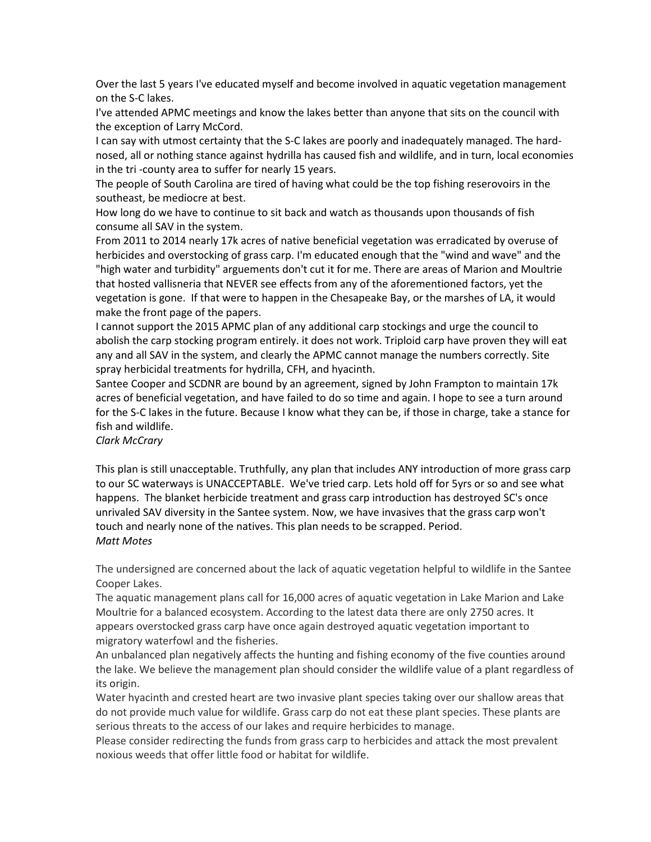Over the last 5 years I've educated myself and become involved in aquatic vegetation management on the S-C lakes.

I've attended APMC meetings and know the lakes better than anyone that sits on the council with the exception of Larry McCord.

I can say with utmost certainty that the S-C lakes are poorly and inadequately managed. The hardnosed, all or nothing stance against hydrilla has caused fish and wildlife, and in turn, local economies in the tri -county area to suffer for nearly 15 years.

The people of South Carolina are tired of having what could be the top fishing reserovoirs in the southeast, be mediocre at best.

How long do we have to continue to sit back and watch as thousands upon thousands of fish consume all SAV in the system.

From 2011 to 2014 nearly 17k acres of native beneficial vegetation was erradicated by overuse of herbicides and overstocking of grass carp. I'm educated enough that the "wind and wave" and the "high water and turbidity" arguements don't cut it for me. There are areas of Marion and Moultrie that hosted vallisneria that NEVER see effects from any of the aforementioned factors, yet the vegetation is gone. If that were to happen in the Chesapeake Bay, or the marshes of LA, it would make the front page of the papers.

I cannot support the 2015 APMC plan of any additional carp stockings and urge the council to abolish the carp stocking program entirely. it does not work. Triploid carp have proven they will eat any and all SAV in the system, and clearly the APMC cannot manage the numbers correctly. Site spray herbicidal treatments for hydrilla, CFH, and hyacinth.

Santee Cooper and SCDNR are bound by an agreement, signed by John Frampton to maintain 17k acres of beneficial vegetation, and have failed to do so time and again. I hope to see a turn around for the S-C lakes in the future. Because I know what they can be, if those in charge, take a stance for fish and wildlife.

# *Clark McCrary*

This plan is still unacceptable. Truthfully, any plan that includes ANY introduction of more grass carp to our SC waterways is UNACCEPTABLE. We've tried carp. Lets hold off for 5yrs or so and see what happens. The blanket herbicide treatment and grass carp introduction has destroyed SC's once unrivaled SAV diversity in the Santee system. Now, we have invasives that the grass carp won't touch and nearly none of the natives. This plan needs to be scrapped. Period. *Matt Motes* 

The undersigned are concerned about the lack of aquatic vegetation helpful to wildlife in the Santee Cooper Lakes.

The aquatic management plans call for 16,000 acres of aquatic vegetation in Lake Marion and Lake Moultrie for a balanced ecosystem. According to the latest data there are only 2750 acres. It appears overstocked grass carp have once again destroyed aquatic vegetation important to migratory waterfowl and the fisheries.

An unbalanced plan negatively affects the hunting and fishing economy of the five counties around the lake. We believe the management plan should consider the wildlife value of a plant regardless of its origin.

Water hyacinth and crested heart are two invasive plant species taking over our shallow areas that do not provide much value for wildlife. Grass carp do not eat these plant species. These plants are serious threats to the access of our lakes and require herbicides to manage.

Please consider redirecting the funds from grass carp to herbicides and attack the most prevalent noxious weeds that offer little food or habitat for wildlife.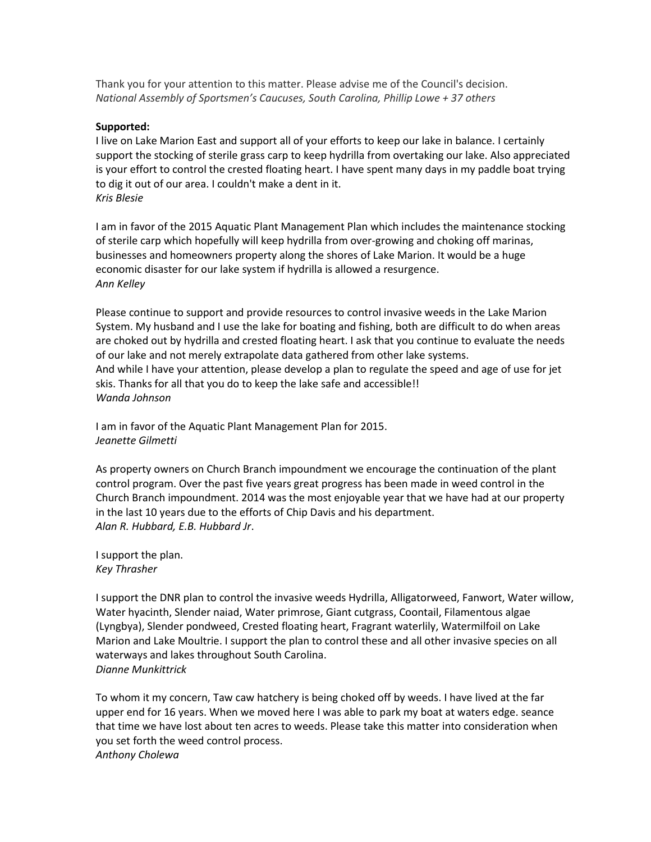Thank you for your attention to this matter. Please advise me of the Council's decision. *National Assembly of Sportsmen's Caucuses, South Carolina, Phillip Lowe + 37 others*

#### **Supported:**

I live on Lake Marion East and support all of your efforts to keep our lake in balance. I certainly support the stocking of sterile grass carp to keep hydrilla from overtaking our lake. Also appreciated is your effort to control the crested floating heart. I have spent many days in my paddle boat trying to dig it out of our area. I couldn't make a dent in it. *Kris Blesie*

I am in favor of the 2015 Aquatic Plant Management Plan which includes the maintenance stocking of sterile carp which hopefully will keep hydrilla from over-growing and choking off marinas, businesses and homeowners property along the shores of Lake Marion. It would be a huge economic disaster for our lake system if hydrilla is allowed a resurgence. *Ann Kelley*

Please continue to support and provide resources to control invasive weeds in the Lake Marion System. My husband and I use the lake for boating and fishing, both are difficult to do when areas are choked out by hydrilla and crested floating heart. I ask that you continue to evaluate the needs of our lake and not merely extrapolate data gathered from other lake systems. And while I have your attention, please develop a plan to regulate the speed and age of use for jet skis. Thanks for all that you do to keep the lake safe and accessible!! *Wanda Johnson*

I am in favor of the Aquatic Plant Management Plan for 2015. *Jeanette Gilmetti* 

As property owners on Church Branch impoundment we encourage the continuation of the plant control program. Over the past five years great progress has been made in weed control in the Church Branch impoundment. 2014 was the most enjoyable year that we have had at our property in the last 10 years due to the efforts of Chip Davis and his department. *Alan R. Hubbard, E.B. Hubbard Jr*.

I support the plan. *Key Thrasher* 

I support the DNR plan to control the invasive weeds Hydrilla, Alligatorweed, Fanwort, Water willow, Water hyacinth, Slender naiad, Water primrose, Giant cutgrass, Coontail, Filamentous algae (Lyngbya), Slender pondweed, Crested floating heart, Fragrant waterlily, Watermilfoil on Lake Marion and Lake Moultrie. I support the plan to control these and all other invasive species on all waterways and lakes throughout South Carolina. *Dianne Munkittrick* 

To whom it my concern, Taw caw hatchery is being choked off by weeds. I have lived at the far upper end for 16 years. When we moved here I was able to park my boat at waters edge. seance that time we have lost about ten acres to weeds. Please take this matter into consideration when you set forth the weed control process. *Anthony Cholewa*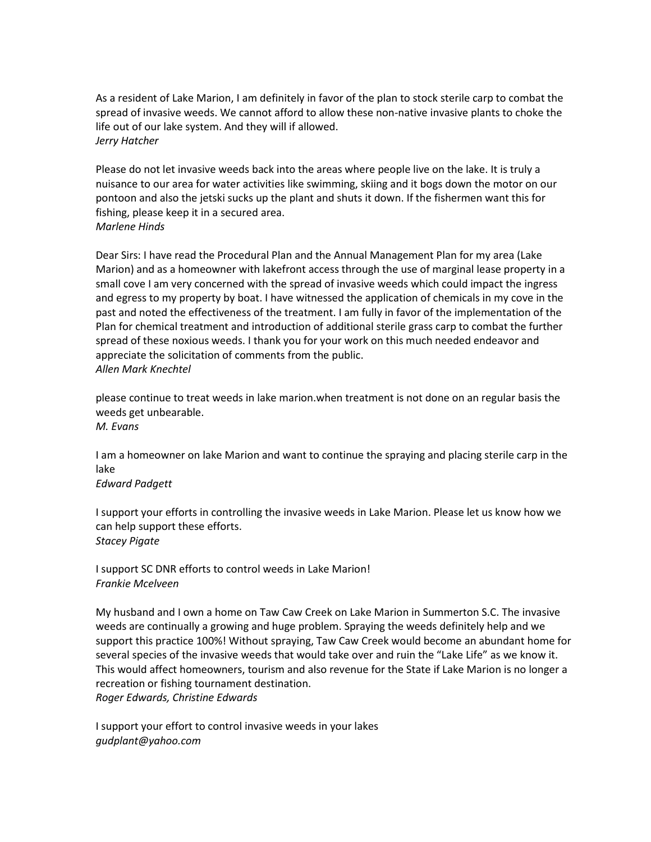As a resident of Lake Marion, I am definitely in favor of the plan to stock sterile carp to combat the spread of invasive weeds. We cannot afford to allow these non-native invasive plants to choke the life out of our lake system. And they will if allowed. *Jerry Hatcher* 

Please do not let invasive weeds back into the areas where people live on the lake. It is truly a nuisance to our area for water activities like swimming, skiing and it bogs down the motor on our pontoon and also the jetski sucks up the plant and shuts it down. If the fishermen want this for fishing, please keep it in a secured area. *Marlene Hinds*

Dear Sirs: I have read the Procedural Plan and the Annual Management Plan for my area (Lake Marion) and as a homeowner with lakefront access through the use of marginal lease property in a small cove I am very concerned with the spread of invasive weeds which could impact the ingress and egress to my property by boat. I have witnessed the application of chemicals in my cove in the past and noted the effectiveness of the treatment. I am fully in favor of the implementation of the Plan for chemical treatment and introduction of additional sterile grass carp to combat the further spread of these noxious weeds. I thank you for your work on this much needed endeavor and appreciate the solicitation of comments from the public. *Allen Mark Knechtel*

please continue to treat weeds in lake marion.when treatment is not done on an regular basis the weeds get unbearable. *M. Evans*

I am a homeowner on lake Marion and want to continue the spraying and placing sterile carp in the lake

*Edward Padgett*

I support your efforts in controlling the invasive weeds in Lake Marion. Please let us know how we can help support these efforts. *Stacey Pigate*

I support SC DNR efforts to control weeds in Lake Marion! *Frankie Mcelveen*

My husband and I own a home on Taw Caw Creek on Lake Marion in Summerton S.C. The invasive weeds are continually a growing and huge problem. Spraying the weeds definitely help and we support this practice 100%! Without spraying, Taw Caw Creek would become an abundant home for several species of the invasive weeds that would take over and ruin the "Lake Life" as we know it. This would affect homeowners, tourism and also revenue for the State if Lake Marion is no longer a recreation or fishing tournament destination. *Roger Edwards, Christine Edwards* 

I support your effort to control invasive weeds in your lakes *gudplant@yahoo.com*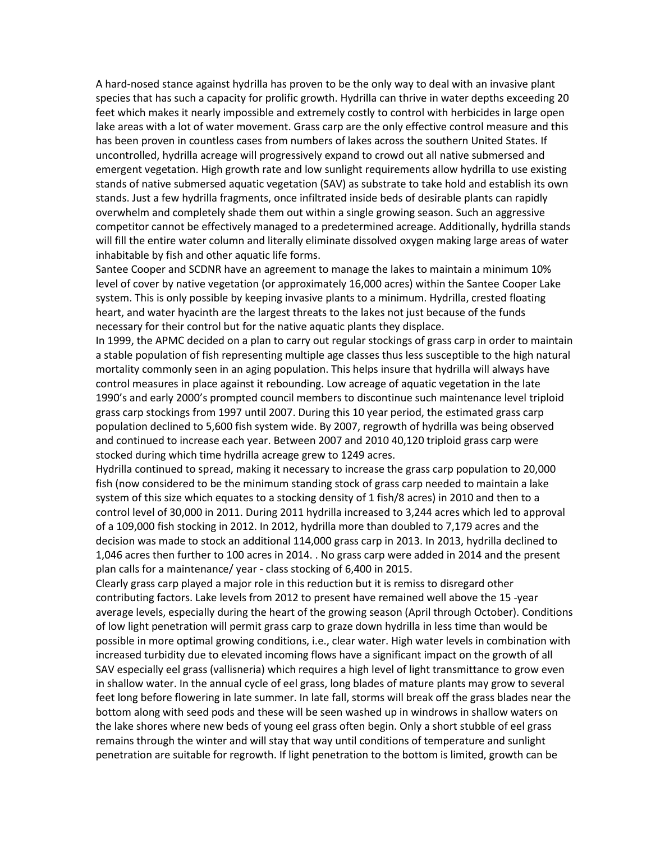A hard-nosed stance against hydrilla has proven to be the only way to deal with an invasive plant species that has such a capacity for prolific growth. Hydrilla can thrive in water depths exceeding 20 feet which makes it nearly impossible and extremely costly to control with herbicides in large open lake areas with a lot of water movement. Grass carp are the only effective control measure and this has been proven in countless cases from numbers of lakes across the southern United States. If uncontrolled, hydrilla acreage will progressively expand to crowd out all native submersed and emergent vegetation. High growth rate and low sunlight requirements allow hydrilla to use existing stands of native submersed aquatic vegetation (SAV) as substrate to take hold and establish its own stands. Just a few hydrilla fragments, once infiltrated inside beds of desirable plants can rapidly overwhelm and completely shade them out within a single growing season. Such an aggressive competitor cannot be effectively managed to a predetermined acreage. Additionally, hydrilla stands will fill the entire water column and literally eliminate dissolved oxygen making large areas of water inhabitable by fish and other aquatic life forms.

Santee Cooper and SCDNR have an agreement to manage the lakes to maintain a minimum 10% level of cover by native vegetation (or approximately 16,000 acres) within the Santee Cooper Lake system. This is only possible by keeping invasive plants to a minimum. Hydrilla, crested floating heart, and water hyacinth are the largest threats to the lakes not just because of the funds necessary for their control but for the native aquatic plants they displace.

In 1999, the APMC decided on a plan to carry out regular stockings of grass carp in order to maintain a stable population of fish representing multiple age classes thus less susceptible to the high natural mortality commonly seen in an aging population. This helps insure that hydrilla will always have control measures in place against it rebounding. Low acreage of aquatic vegetation in the late 1990's and early 2000's prompted council members to discontinue such maintenance level triploid grass carp stockings from 1997 until 2007. During this 10 year period, the estimated grass carp population declined to 5,600 fish system wide. By 2007, regrowth of hydrilla was being observed and continued to increase each year. Between 2007 and 2010 40,120 triploid grass carp were stocked during which time hydrilla acreage grew to 1249 acres.

Hydrilla continued to spread, making it necessary to increase the grass carp population to 20,000 fish (now considered to be the minimum standing stock of grass carp needed to maintain a lake system of this size which equates to a stocking density of 1 fish/8 acres) in 2010 and then to a control level of 30,000 in 2011. During 2011 hydrilla increased to 3,244 acres which led to approval of a 109,000 fish stocking in 2012. In 2012, hydrilla more than doubled to 7,179 acres and the decision was made to stock an additional 114,000 grass carp in 2013. In 2013, hydrilla declined to 1,046 acres then further to 100 acres in 2014. . No grass carp were added in 2014 and the present plan calls for a maintenance/ year - class stocking of 6,400 in 2015.

Clearly grass carp played a major role in this reduction but it is remiss to disregard other contributing factors. Lake levels from 2012 to present have remained well above the 15 -year average levels, especially during the heart of the growing season (April through October). Conditions of low light penetration will permit grass carp to graze down hydrilla in less time than would be possible in more optimal growing conditions, i.e., clear water. High water levels in combination with increased turbidity due to elevated incoming flows have a significant impact on the growth of all SAV especially eel grass (vallisneria) which requires a high level of light transmittance to grow even in shallow water. In the annual cycle of eel grass, long blades of mature plants may grow to several feet long before flowering in late summer. In late fall, storms will break off the grass blades near the bottom along with seed pods and these will be seen washed up in windrows in shallow waters on the lake shores where new beds of young eel grass often begin. Only a short stubble of eel grass remains through the winter and will stay that way until conditions of temperature and sunlight penetration are suitable for regrowth. If light penetration to the bottom is limited, growth can be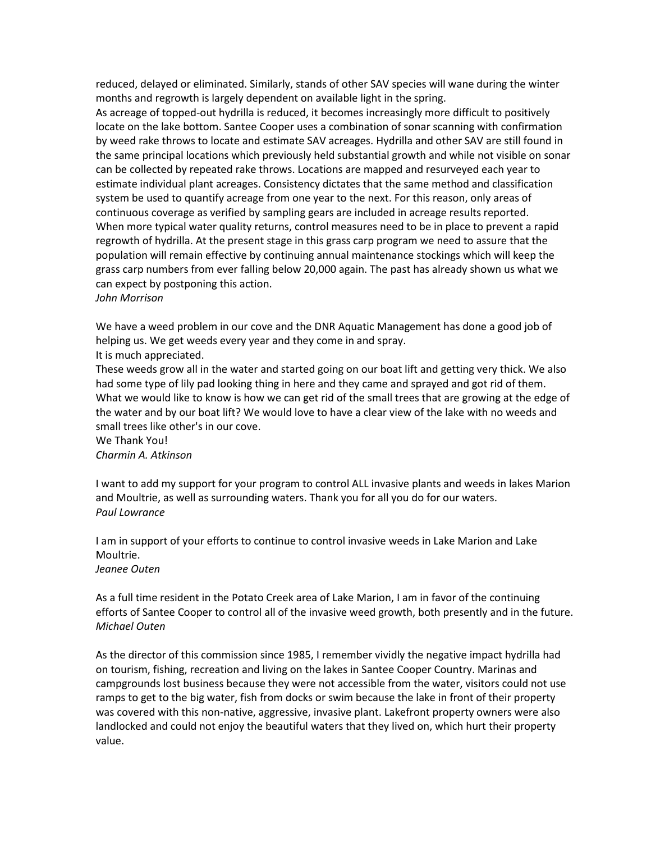reduced, delayed or eliminated. Similarly, stands of other SAV species will wane during the winter months and regrowth is largely dependent on available light in the spring.

As acreage of topped-out hydrilla is reduced, it becomes increasingly more difficult to positively locate on the lake bottom. Santee Cooper uses a combination of sonar scanning with confirmation by weed rake throws to locate and estimate SAV acreages. Hydrilla and other SAV are still found in the same principal locations which previously held substantial growth and while not visible on sonar can be collected by repeated rake throws. Locations are mapped and resurveyed each year to estimate individual plant acreages. Consistency dictates that the same method and classification system be used to quantify acreage from one year to the next. For this reason, only areas of continuous coverage as verified by sampling gears are included in acreage results reported. When more typical water quality returns, control measures need to be in place to prevent a rapid regrowth of hydrilla. At the present stage in this grass carp program we need to assure that the population will remain effective by continuing annual maintenance stockings which will keep the grass carp numbers from ever falling below 20,000 again. The past has already shown us what we can expect by postponing this action. *John Morrison*

We have a weed problem in our cove and the DNR Aquatic Management has done a good job of helping us. We get weeds every year and they come in and spray.

It is much appreciated.

These weeds grow all in the water and started going on our boat lift and getting very thick. We also had some type of lily pad looking thing in here and they came and sprayed and got rid of them. What we would like to know is how we can get rid of the small trees that are growing at the edge of the water and by our boat lift? We would love to have a clear view of the lake with no weeds and small trees like other's in our cove.

We Thank You! *Charmin A. Atkinson* 

I want to add my support for your program to control ALL invasive plants and weeds in lakes Marion and Moultrie, as well as surrounding waters. Thank you for all you do for our waters. *Paul Lowrance*

I am in support of your efforts to continue to control invasive weeds in Lake Marion and Lake Moultrie.

*Jeanee Outen*

As a full time resident in the Potato Creek area of Lake Marion, I am in favor of the continuing efforts of Santee Cooper to control all of the invasive weed growth, both presently and in the future. *Michael Outen* 

As the director of this commission since 1985, I remember vividly the negative impact hydrilla had on tourism, fishing, recreation and living on the lakes in Santee Cooper Country. Marinas and campgrounds lost business because they were not accessible from the water, visitors could not use ramps to get to the big water, fish from docks or swim because the lake in front of their property was covered with this non-native, aggressive, invasive plant. Lakefront property owners were also landlocked and could not enjoy the beautiful waters that they lived on, which hurt their property value.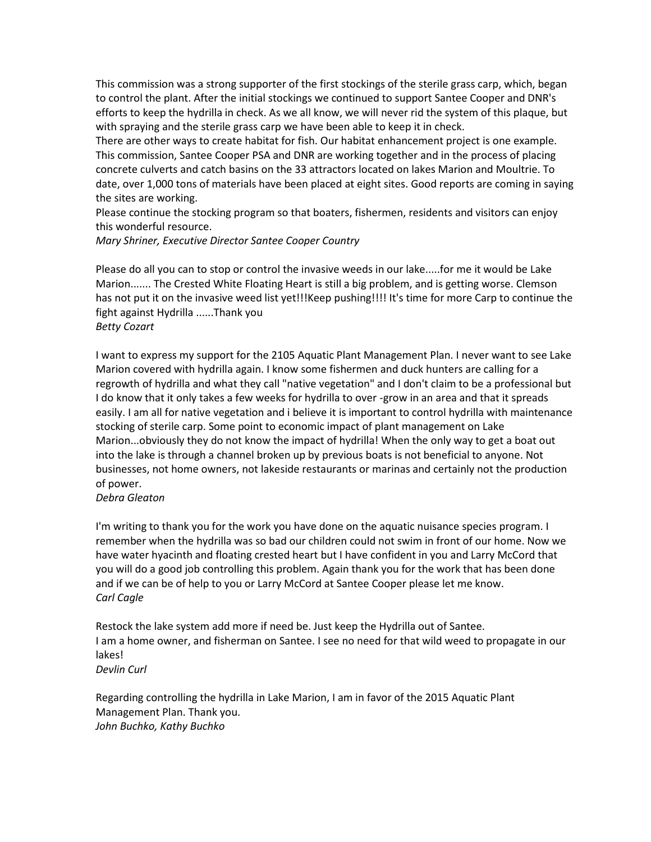This commission was a strong supporter of the first stockings of the sterile grass carp, which, began to control the plant. After the initial stockings we continued to support Santee Cooper and DNR's efforts to keep the hydrilla in check. As we all know, we will never rid the system of this plaque, but with spraying and the sterile grass carp we have been able to keep it in check.

There are other ways to create habitat for fish. Our habitat enhancement project is one example. This commission, Santee Cooper PSA and DNR are working together and in the process of placing concrete culverts and catch basins on the 33 attractors located on lakes Marion and Moultrie. To date, over 1,000 tons of materials have been placed at eight sites. Good reports are coming in saying the sites are working.

Please continue the stocking program so that boaters, fishermen, residents and visitors can enjoy this wonderful resource.

*Mary Shriner, Executive Director Santee Cooper Country*

Please do all you can to stop or control the invasive weeds in our lake.....for me it would be Lake Marion....... The Crested White Floating Heart is still a big problem, and is getting worse. Clemson has not put it on the invasive weed list yet!!!Keep pushing!!!! It's time for more Carp to continue the fight against Hydrilla ......Thank you *Betty Cozart*

I want to express my support for the 2105 Aquatic Plant Management Plan. I never want to see Lake Marion covered with hydrilla again. I know some fishermen and duck hunters are calling for a regrowth of hydrilla and what they call "native vegetation" and I don't claim to be a professional but I do know that it only takes a few weeks for hydrilla to over -grow in an area and that it spreads easily. I am all for native vegetation and i believe it is important to control hydrilla with maintenance stocking of sterile carp. Some point to economic impact of plant management on Lake Marion...obviously they do not know the impact of hydrilla! When the only way to get a boat out into the lake is through a channel broken up by previous boats is not beneficial to anyone. Not businesses, not home owners, not lakeside restaurants or marinas and certainly not the production of power.

# *Debra Gleaton*

I'm writing to thank you for the work you have done on the aquatic nuisance species program. I remember when the hydrilla was so bad our children could not swim in front of our home. Now we have water hyacinth and floating crested heart but I have confident in you and Larry McCord that you will do a good job controlling this problem. Again thank you for the work that has been done and if we can be of help to you or Larry McCord at Santee Cooper please let me know. *Carl Cagle*

Restock the lake system add more if need be. Just keep the Hydrilla out of Santee. I am a home owner, and fisherman on Santee. I see no need for that wild weed to propagate in our lakes! *Devlin Curl*

Regarding controlling the hydrilla in Lake Marion, I am in favor of the 2015 Aquatic Plant Management Plan. Thank you. *John Buchko, Kathy Buchko*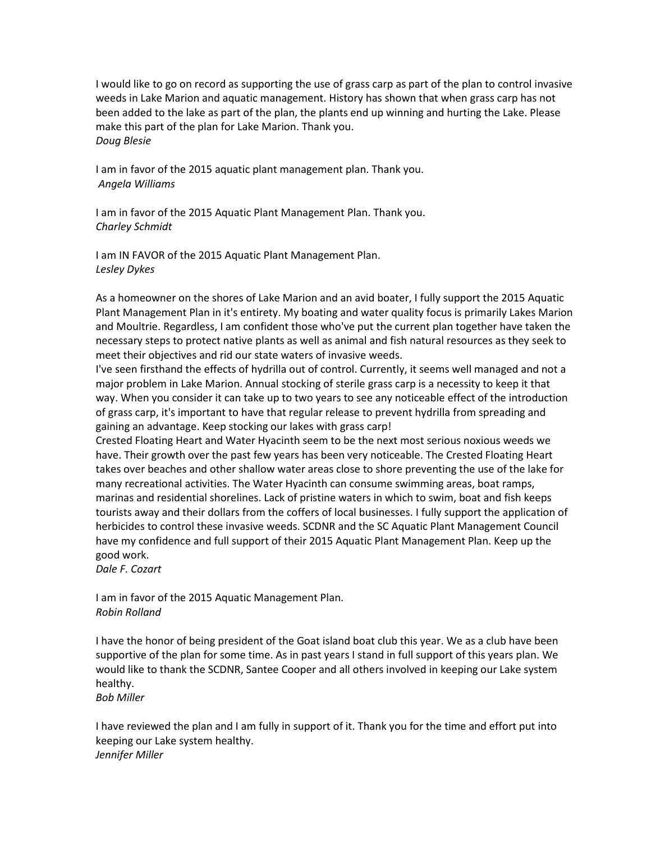I would like to go on record as supporting the use of grass carp as part of the plan to control invasive weeds in Lake Marion and aquatic management. History has shown that when grass carp has not been added to the lake as part of the plan, the plants end up winning and hurting the Lake. Please make this part of the plan for Lake Marion. Thank you. *Doug Blesie*

I am in favor of the 2015 aquatic plant management plan. Thank you. *Angela Williams* 

I am in favor of the 2015 Aquatic Plant Management Plan. Thank you. *Charley Schmidt* 

I am IN FAVOR of the 2015 Aquatic Plant Management Plan. *Lesley Dykes* 

As a homeowner on the shores of Lake Marion and an avid boater, I fully support the 2015 Aquatic Plant Management Plan in it's entirety. My boating and water quality focus is primarily Lakes Marion and Moultrie. Regardless, I am confident those who've put the current plan together have taken the necessary steps to protect native plants as well as animal and fish natural resources as they seek to meet their objectives and rid our state waters of invasive weeds.

I've seen firsthand the effects of hydrilla out of control. Currently, it seems well managed and not a major problem in Lake Marion. Annual stocking of sterile grass carp is a necessity to keep it that way. When you consider it can take up to two years to see any noticeable effect of the introduction of grass carp, it's important to have that regular release to prevent hydrilla from spreading and gaining an advantage. Keep stocking our lakes with grass carp!

Crested Floating Heart and Water Hyacinth seem to be the next most serious noxious weeds we have. Their growth over the past few years has been very noticeable. The Crested Floating Heart takes over beaches and other shallow water areas close to shore preventing the use of the lake for many recreational activities. The Water Hyacinth can consume swimming areas, boat ramps, marinas and residential shorelines. Lack of pristine waters in which to swim, boat and fish keeps tourists away and their dollars from the coffers of local businesses. I fully support the application of herbicides to control these invasive weeds. SCDNR and the SC Aquatic Plant Management Council have my confidence and full support of their 2015 Aquatic Plant Management Plan. Keep up the good work.

*Dale F. Cozart*

I am in favor of the 2015 Aquatic Management Plan. *Robin Rolland*

I have the honor of being president of the Goat island boat club this year. We as a club have been supportive of the plan for some time. As in past years I stand in full support of this years plan. We would like to thank the SCDNR, Santee Cooper and all others involved in keeping our Lake system healthy.

*Bob Miller* 

I have reviewed the plan and I am fully in support of it. Thank you for the time and effort put into keeping our Lake system healthy. *Jennifer Miller*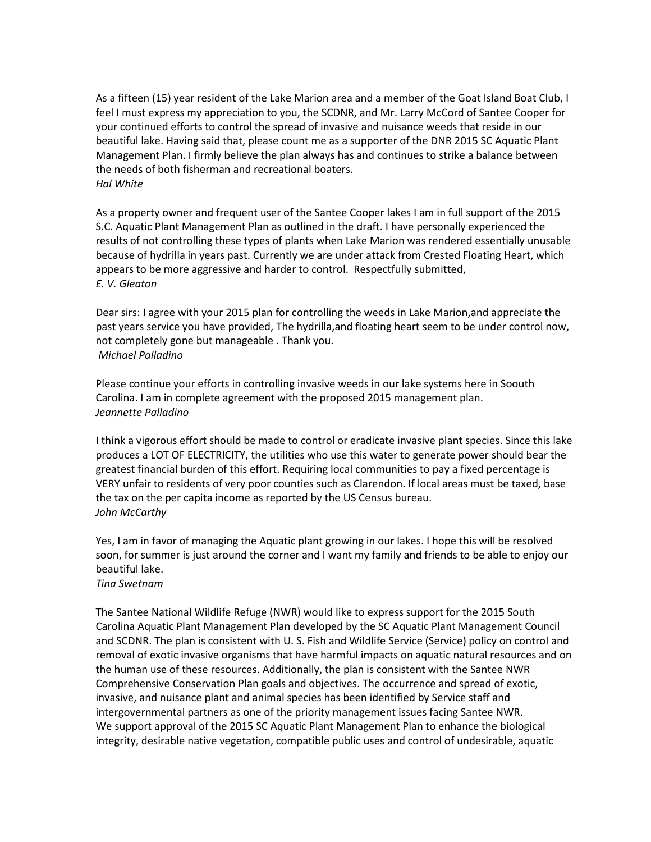As a fifteen (15) year resident of the Lake Marion area and a member of the Goat Island Boat Club, I feel I must express my appreciation to you, the SCDNR, and Mr. Larry McCord of Santee Cooper for your continued efforts to control the spread of invasive and nuisance weeds that reside in our beautiful lake. Having said that, please count me as a supporter of the DNR 2015 SC Aquatic Plant Management Plan. I firmly believe the plan always has and continues to strike a balance between the needs of both fisherman and recreational boaters. *Hal White*

As a property owner and frequent user of the Santee Cooper lakes I am in full support of the 2015 S.C. Aquatic Plant Management Plan as outlined in the draft. I have personally experienced the results of not controlling these types of plants when Lake Marion was rendered essentially unusable because of hydrilla in years past. Currently we are under attack from Crested Floating Heart, which appears to be more aggressive and harder to control. Respectfully submitted, *E. V. Gleaton*

Dear sirs: I agree with your 2015 plan for controlling the weeds in Lake Marion,and appreciate the past years service you have provided, The hydrilla,and floating heart seem to be under control now, not completely gone but manageable . Thank you. *Michael Palladino* 

Please continue your efforts in controlling invasive weeds in our lake systems here in Soouth Carolina. I am in complete agreement with the proposed 2015 management plan. *Jeannette Palladino* 

I think a vigorous effort should be made to control or eradicate invasive plant species. Since this lake produces a LOT OF ELECTRICITY, the utilities who use this water to generate power should bear the greatest financial burden of this effort. Requiring local communities to pay a fixed percentage is VERY unfair to residents of very poor counties such as Clarendon. If local areas must be taxed, base the tax on the per capita income as reported by the US Census bureau. *John McCarthy*

Yes, I am in favor of managing the Aquatic plant growing in our lakes. I hope this will be resolved soon, for summer is just around the corner and I want my family and friends to be able to enjoy our beautiful lake.

## *Tina Swetnam*

The Santee National Wildlife Refuge (NWR) would like to express support for the 2015 South Carolina Aquatic Plant Management Plan developed by the SC Aquatic Plant Management Council and SCDNR. The plan is consistent with U. S. Fish and Wildlife Service (Service) policy on control and removal of exotic invasive organisms that have harmful impacts on aquatic natural resources and on the human use of these resources. Additionally, the plan is consistent with the Santee NWR Comprehensive Conservation Plan goals and objectives. The occurrence and spread of exotic, invasive, and nuisance plant and animal species has been identified by Service staff and intergovernmental partners as one of the priority management issues facing Santee NWR. We support approval of the 2015 SC Aquatic Plant Management Plan to enhance the biological integrity, desirable native vegetation, compatible public uses and control of undesirable, aquatic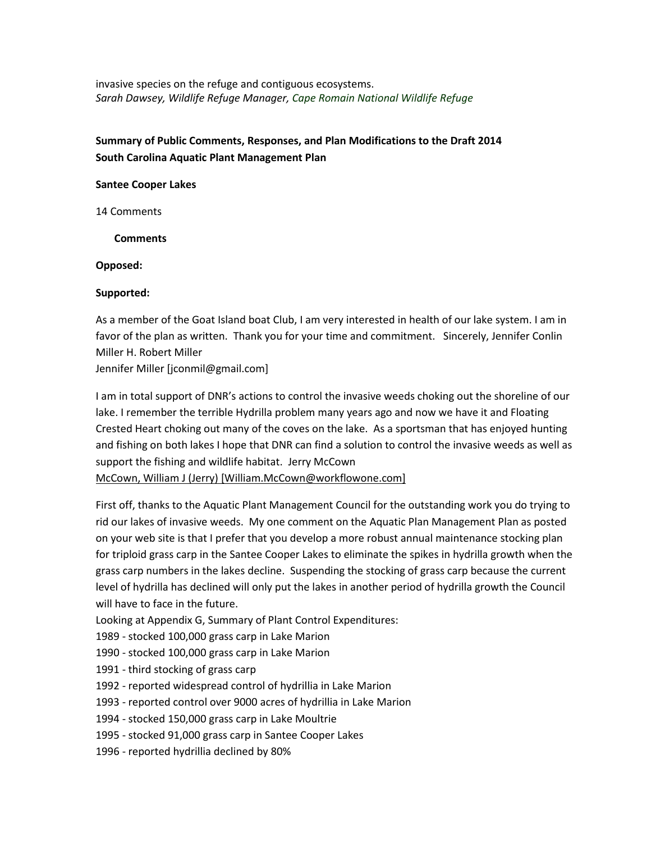invasive species on the refuge and contiguous ecosystems. *Sarah Dawsey, Wildlife Refuge Manager, Cape Romain National Wildlife Refuge*

# **Summary of Public Comments, Responses, and Plan Modifications to the Draft 2014 South Carolina Aquatic Plant Management Plan**

#### **Santee Cooper Lakes**

14 Comments

**Comments**

**Opposed:**

## **Supported:**

As a member of the Goat Island boat Club, I am very interested in health of our lake system. I am in favor of the plan as written. Thank you for your time and commitment. Sincerely, Jennifer Conlin Miller H. Robert Miller Jennifer Miller [jconmil@gmail.com]

I am in total support of DNR's actions to control the invasive weeds choking out the shoreline of our lake. I remember the terrible Hydrilla problem many years ago and now we have it and Floating Crested Heart choking out many of the coves on the lake. As a sportsman that has enjoyed hunting and fishing on both lakes I hope that DNR can find a solution to control the invasive weeds as well as support the fishing and wildlife habitat. Jerry McCown McCown, William J (Jerry) [William.McCown@workflowone.com]

First off, thanks to the Aquatic Plant Management Council for the outstanding work you do trying to rid our lakes of invasive weeds. My one comment on the Aquatic Plan Management Plan as posted on your web site is that I prefer that you develop a more robust annual maintenance stocking plan for triploid grass carp in the Santee Cooper Lakes to eliminate the spikes in hydrilla growth when the grass carp numbers in the lakes decline. Suspending the stocking of grass carp because the current level of hydrilla has declined will only put the lakes in another period of hydrilla growth the Council will have to face in the future.

Looking at Appendix G, Summary of Plant Control Expenditures:

- 1989 stocked 100,000 grass carp in Lake Marion
- 1990 stocked 100,000 grass carp in Lake Marion
- 1991 third stocking of grass carp
- 1992 reported widespread control of hydrillia in Lake Marion
- 1993 reported control over 9000 acres of hydrillia in Lake Marion
- 1994 stocked 150,000 grass carp in Lake Moultrie
- 1995 stocked 91,000 grass carp in Santee Cooper Lakes
- 1996 reported hydrillia declined by 80%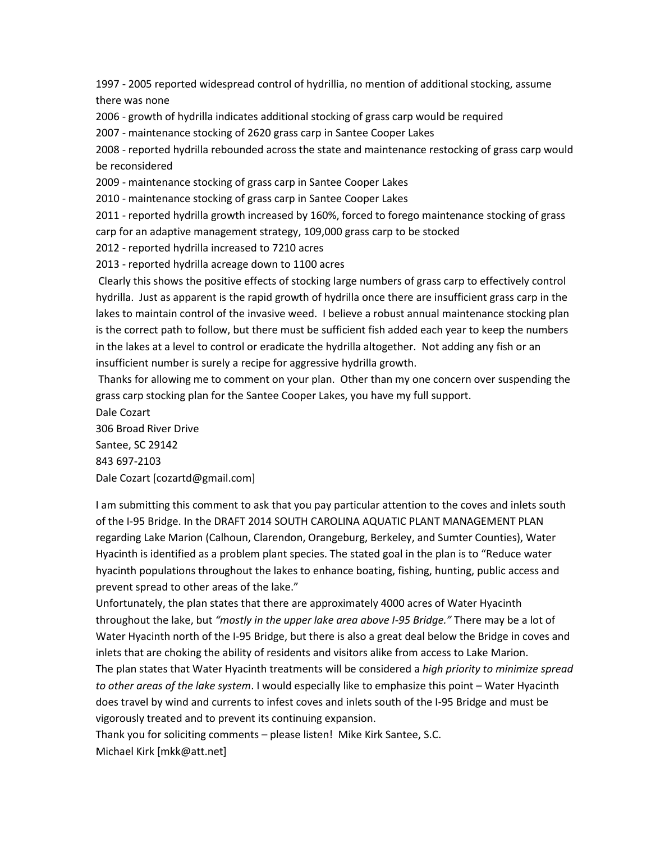1997 - 2005 reported widespread control of hydrillia, no mention of additional stocking, assume there was none

2006 - growth of hydrilla indicates additional stocking of grass carp would be required

2007 - maintenance stocking of 2620 grass carp in Santee Cooper Lakes

2008 - reported hydrilla rebounded across the state and maintenance restocking of grass carp would be reconsidered

2009 - maintenance stocking of grass carp in Santee Cooper Lakes

2010 - maintenance stocking of grass carp in Santee Cooper Lakes

2011 - reported hydrilla growth increased by 160%, forced to forego maintenance stocking of grass carp for an adaptive management strategy, 109,000 grass carp to be stocked

2012 - reported hydrilla increased to 7210 acres

2013 - reported hydrilla acreage down to 1100 acres

Clearly this shows the positive effects of stocking large numbers of grass carp to effectively control hydrilla. Just as apparent is the rapid growth of hydrilla once there are insufficient grass carp in the lakes to maintain control of the invasive weed. I believe a robust annual maintenance stocking plan is the correct path to follow, but there must be sufficient fish added each year to keep the numbers in the lakes at a level to control or eradicate the hydrilla altogether. Not adding any fish or an insufficient number is surely a recipe for aggressive hydrilla growth.

Thanks for allowing me to comment on your plan. Other than my one concern over suspending the grass carp stocking plan for the Santee Cooper Lakes, you have my full support.

Dale Cozart 306 Broad River Drive Santee, SC 29142 843 697-2103 Dale Cozart [cozartd@gmail.com]

I am submitting this comment to ask that you pay particular attention to the coves and inlets south of the I-95 Bridge. In the DRAFT 2014 SOUTH CAROLINA AQUATIC PLANT MANAGEMENT PLAN regarding Lake Marion (Calhoun, Clarendon, Orangeburg, Berkeley, and Sumter Counties), Water Hyacinth is identified as a problem plant species. The stated goal in the plan is to "Reduce water hyacinth populations throughout the lakes to enhance boating, fishing, hunting, public access and prevent spread to other areas of the lake."

Unfortunately, the plan states that there are approximately 4000 acres of Water Hyacinth throughout the lake, but *"mostly in the upper lake area above I-95 Bridge."* There may be a lot of Water Hyacinth north of the I-95 Bridge, but there is also a great deal below the Bridge in coves and inlets that are choking the ability of residents and visitors alike from access to Lake Marion.

The plan states that Water Hyacinth treatments will be considered a *high priority to minimize spread to other areas of the lake system*. I would especially like to emphasize this point – Water Hyacinth does travel by wind and currents to infest coves and inlets south of the I-95 Bridge and must be vigorously treated and to prevent its continuing expansion.

Thank you for soliciting comments – please listen! Mike Kirk Santee, S.C. Michael Kirk [mkk@att.net]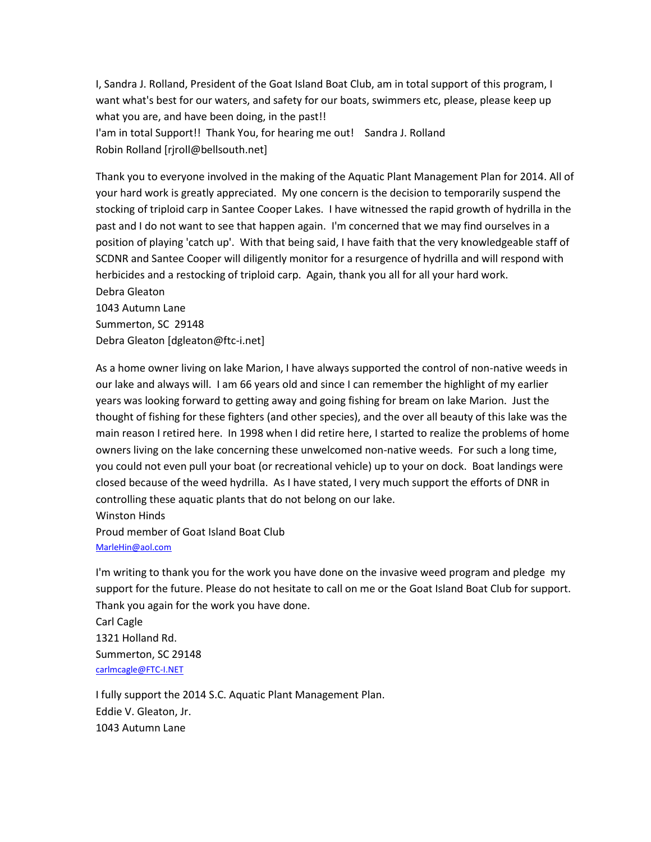I, Sandra J. Rolland, President of the Goat Island Boat Club, am in total support of this program, I want what's best for our waters, and safety for our boats, swimmers etc, please, please keep up what you are, and have been doing, in the past!! I'am in total Support!! Thank You, for hearing me out! Sandra J. Rolland Robin Rolland [rjroll@bellsouth.net]

Thank you to everyone involved in the making of the Aquatic Plant Management Plan for 2014. All of your hard work is greatly appreciated. My one concern is the decision to temporarily suspend the stocking of triploid carp in Santee Cooper Lakes. I have witnessed the rapid growth of hydrilla in the past and I do not want to see that happen again. I'm concerned that we may find ourselves in a position of playing 'catch up'. With that being said, I have faith that the very knowledgeable staff of SCDNR and Santee Cooper will diligently monitor for a resurgence of hydrilla and will respond with herbicides and a restocking of triploid carp. Again, thank you all for all your hard work. Debra Gleaton 1043 Autumn Lane Summerton, SC 29148 Debra Gleaton [dgleaton@ftc-i.net]

As a home owner living on lake Marion, I have always supported the control of non-native weeds in our lake and always will. I am 66 years old and since I can remember the highlight of my earlier years was looking forward to getting away and going fishing for bream on lake Marion. Just the thought of fishing for these fighters (and other species), and the over all beauty of this lake was the main reason I retired here. In 1998 when I did retire here, I started to realize the problems of home owners living on the lake concerning these unwelcomed non-native weeds. For such a long time, you could not even pull your boat (or recreational vehicle) up to your on dock. Boat landings were closed because of the weed hydrilla. As I have stated, I very much support the efforts of DNR in controlling these aquatic plants that do not belong on our lake. Winston Hinds Proud member of Goat Island Boat Club [MarleHin@aol.com](mailto:MarleHin@aol.com)

I'm writing to thank you for the work you have done on the invasive weed program and pledge my support for the future. Please do not hesitate to call on me or the Goat Island Boat Club for support. Thank you again for the work you have done.

Carl Cagle 1321 Holland Rd. Summerton, SC 29148 [carlmcagle@FTC-I.NET](mailto:carlmcagle@FTC-I.NET)

I fully support the 2014 S.C. Aquatic Plant Management Plan. Eddie V. Gleaton, Jr. 1043 Autumn Lane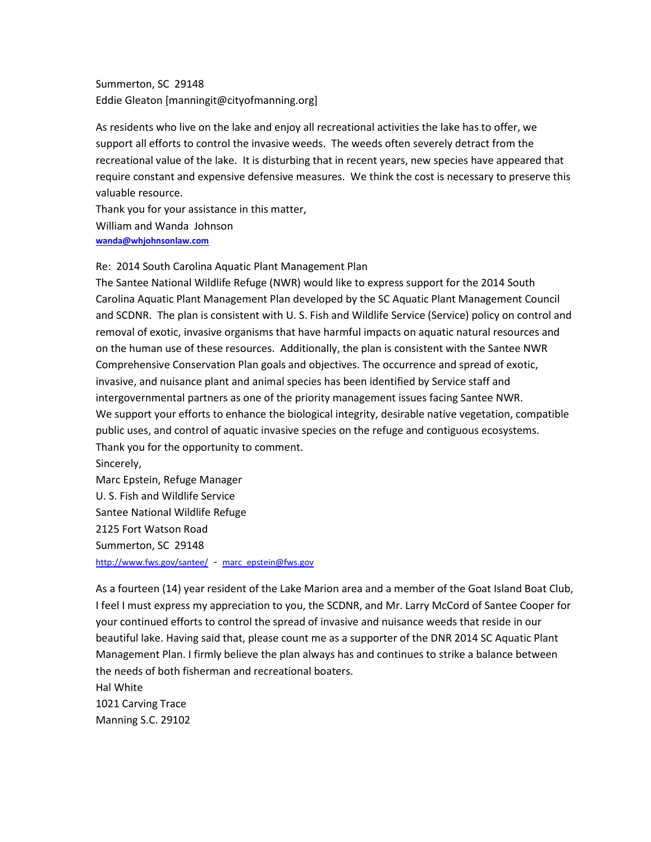Summerton, SC 29148 Eddie Gleaton [manningit@cityofmanning.org]

As residents who live on the lake and enjoy all recreational activities the lake has to offer, we support all efforts to control the invasive weeds. The weeds often severely detract from the recreational value of the lake. It is disturbing that in recent years, new species have appeared that require constant and expensive defensive measures. We think the cost is necessary to preserve this valuable resource.

Thank you for your assistance in this matter, William and Wanda Johnson **[wanda@whjohnsonlaw.com](mailto:wanda@whjohnsonlaw.com)**

Re: 2014 South Carolina Aquatic Plant Management Plan

The Santee National Wildlife Refuge (NWR) would like to express support for the 2014 South Carolina Aquatic Plant Management Plan developed by the SC Aquatic Plant Management Council and SCDNR. The plan is consistent with U. S. Fish and Wildlife Service (Service) policy on control and removal of exotic, invasive organisms that have harmful impacts on aquatic natural resources and on the human use of these resources. Additionally, the plan is consistent with the Santee NWR Comprehensive Conservation Plan goals and objectives. The occurrence and spread of exotic, invasive, and nuisance plant and animal species has been identified by Service staff and intergovernmental partners as one of the priority management issues facing Santee NWR. We support your efforts to enhance the biological integrity, desirable native vegetation, compatible public uses, and control of aquatic invasive species on the refuge and contiguous ecosystems. Thank you for the opportunity to comment. Sincerely, Marc Epstein, Refuge Manager U. S. Fish and Wildlife Service Santee National Wildlife Refuge 2125 Fort Watson Road

Summerton, SC 29148

<http://www.fws.gov/santee/> - [marc\\_epstein@fws.gov](mailto:marc_epstein@fws.gov)

As a fourteen (14) year resident of the Lake Marion area and a member of the Goat Island Boat Club, I feel I must express my appreciation to you, the SCDNR, and Mr. Larry McCord of Santee Cooper for your continued efforts to control the spread of invasive and nuisance weeds that reside in our beautiful lake. Having said that, please count me as a supporter of the DNR 2014 SC Aquatic Plant Management Plan. I firmly believe the plan always has and continues to strike a balance between the needs of both fisherman and recreational boaters.

Hal White 1021 Carving Trace Manning S.C. 29102